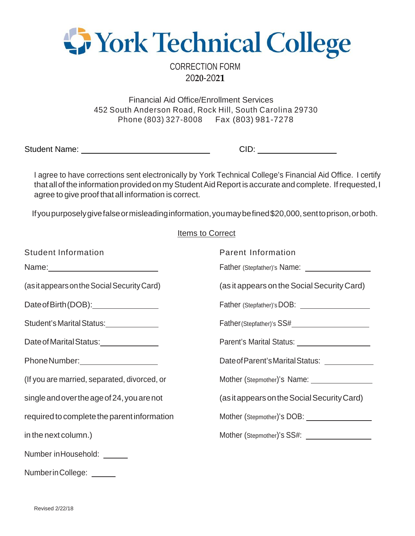

CORRECTION FORM 20**20**-20**21**

Financial Aid Office/Enrollment Services 452 South Anderson Road, Rock Hill, South Carolina 29730 Phone (803) 327-8008 Fax (803) 981-7278

Student Name: <u>Cambridge Communications</u> CID:

I agree to have corrections sent electronically by York Technical College's Financial Aid Office. I certify that all of the information provided on my Student Aid Report is accurate and complete. If requested, I agree to give proof that all information is correct.

If you purposely give false or misleading information, you may be fined \$20,000, sent to prison, or both.

## Items to Correct

| <b>Student Information</b>                      | <b>Parent Information</b>                                                                                                                                                                                                      |
|-------------------------------------------------|--------------------------------------------------------------------------------------------------------------------------------------------------------------------------------------------------------------------------------|
|                                                 | Father (Stepfather)'s Name: ____________________                                                                                                                                                                               |
| (as it appears on the Social Security Card)     | (as it appears on the Social Security Card)                                                                                                                                                                                    |
| Date of Birth (DOB): <u>___________________</u> | Father (Stepfather)'s DOB: \\square\\square\\square\square\square\square\square\square\square\square\square\square\square\square\square\square\square\square\square\square\square\square\square\square\square\square\square\sq |
| Student's Marital Status:                       |                                                                                                                                                                                                                                |
| Date of Marital Status: 1990 1991               | Parent's Marital Status: ____________________                                                                                                                                                                                  |
| Phone Number: _____________________             | Date of Parent's Marital Status: _____________                                                                                                                                                                                 |
| (If you are married, separated, divorced, or    | Mother (Stepmother)'s Name: __________________                                                                                                                                                                                 |
| single and over the age of 24, you are not      | (as it appears on the Social Security Card)                                                                                                                                                                                    |
| required to complete the parent information     |                                                                                                                                                                                                                                |
| in the next column.)                            | Mother (Stepmother)'s SS#: \\square\\square\\square\\square\\square\\square\\square\\square\\square\\square\\square\\square\\square\\square\\square\\square\\square\\square\\square\\square\\square\\square\\square\\square\\s |
| Number in Household: <u>Number</u>              |                                                                                                                                                                                                                                |
| Number in College:                              |                                                                                                                                                                                                                                |